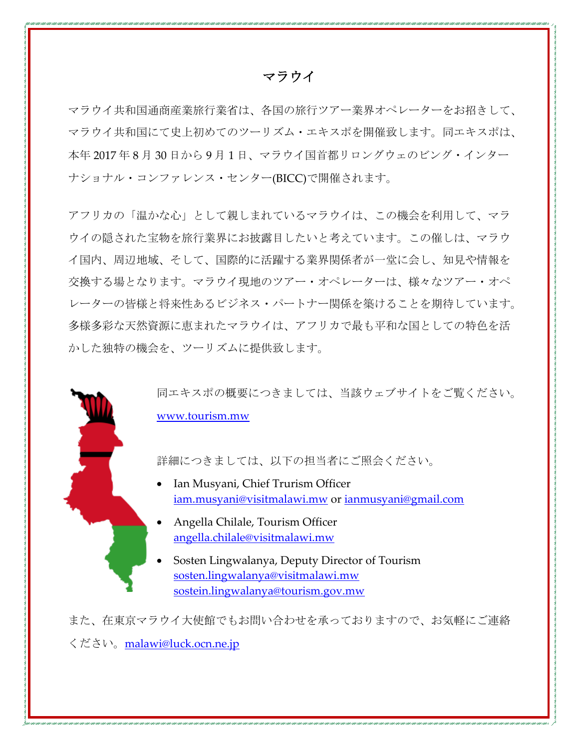## マラウイ

マラウイ共和国通商産業旅行業省は、各国の旅行ツアー業界オペレーターをお招きして、 マラウイ共和国にて史上初めてのツーリズム・エキスポを開催致します。同エキスポは、 本年 2017 年 8 月 30 日から 9 月 1 日、マラウイ国首都リロングウェのビング・インター ナショナル・コンファレンス・センター(BICC)で開催されます。

アフリカの「温かな心」として親しまれているマラウイは、この機会を利用して、マラ ウイの隠された宝物を旅行業界にお披露目したいと考えています。この催しは、マラウ イ国内、周辺地域、そして、国際的に活躍する業界関係者が一堂に会し、知見や情報を 交換する場となります。マラウイ現地のツアー・オペレーターは、様々なツアー・オペ レーターの皆様と将来性あるビジネス・パートナー関係を築けることを期待しています。 多様多彩な天然資源に恵まれたマラウイは、アフリカで最も平和な国としての特色を活 かした独特の機会を、ツーリズムに提供致します。

> 同エキスポの概要につきましては、当該ウェブサイトをご覧ください。 www.tourism.mw

詳細につきましては、以下の担当者にご照会ください。

- Ian Musyani, Chief Trurism Officer iam.musyani@visitmalawi.mw or ianmusyani@gmail.com
- Angella Chilale, Tourism Officer angella.chilale@visitmalawi.mw
- Sosten Lingwalanya, Deputy Director of Tourism sosten.lingwalanya@visitmalawi.mw sostein.lingwalanya@tourism.gov.mw

また、在東京マラウイ大使館でもお問い合わせを承っておりますので、お気軽にご連絡 ください。malawi@luck.ocn.ne.jp